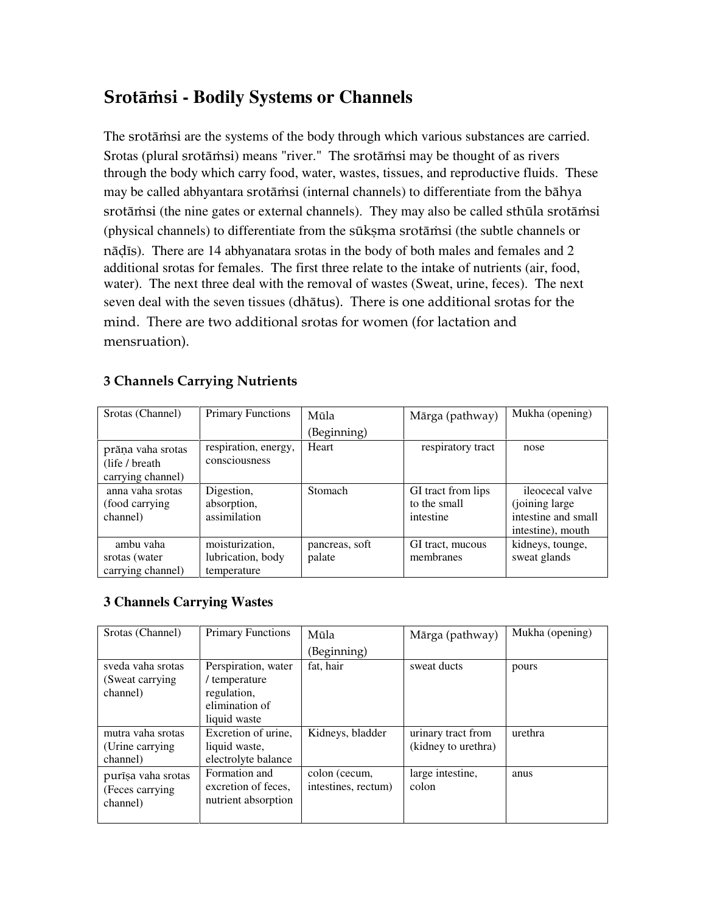# **Srotāmsi - Bodily Systems or Channels**

The srotāmsi are the systems of the body through which various substances are carried. Srotas (plural srotāmsi) means "river." The srotāmsi may be thought of as rivers through the body which carry food, water, wastes, tissues, and reproductive fluids. These may be called abhyantara srotāmsi (internal channels) to differentiate from the bāhya srotāmsi (the nine gates or external channels). They may also be called sthūla srotāmsi (physical channels) to differentiate from the sūksma srotāmsi (the subtle channels or nādīs). There are 14 abhyanatara srotas in the body of both males and females and 2 additional srotas for females. The first three relate to the intake of nutrients (air, food, water). The next three deal with the removal of wastes (Sweat, urine, feces). The next seven deal with the seven tissues (dhätus). There is one additional srotas for the mind. There are two additional srotas for women (for lactation and mensruation).

### 3 Channels Carrying Nutrients

| Srotas (Channel)                                          | <b>Primary Functions</b>                            | Mūla                     | Mārga (pathway)                                 | Mukha (opening)                                                                |
|-----------------------------------------------------------|-----------------------------------------------------|--------------------------|-------------------------------------------------|--------------------------------------------------------------------------------|
|                                                           |                                                     | (Beginning)              |                                                 |                                                                                |
| prāņa vaha srotas<br>(life / breath)<br>carrying channel) | respiration, energy,<br>consciousness               | Heart                    | respiratory tract                               | nose                                                                           |
| anna vaha srotas<br>(food carrying)<br>channel)           | Digestion,<br>absorption,<br>assimilation           | Stomach                  | GI tract from lips<br>to the small<br>intestine | ileocecal valve<br>(joining large)<br>intestine and small<br>intestine), mouth |
| ambu vaha<br>srotas (water<br>carrying channel)           | moisturization,<br>lubrication, body<br>temperature | pancreas, soft<br>palate | GI tract, mucous<br>membranes                   | kidneys, tounge,<br>sweat glands                                               |

## **3 Channels Carrying Wastes**

| Srotas (Channel)   | <b>Primary Functions</b> | Mūla                | Mārga (pathway)     | Mukha (opening) |
|--------------------|--------------------------|---------------------|---------------------|-----------------|
|                    |                          | (Beginning)         |                     |                 |
| sveda vaha srotas  | Perspiration, water      | fat, hair           | sweat ducts         | pours           |
| (Sweat carrying)   | / temperature            |                     |                     |                 |
| channel)           | regulation,              |                     |                     |                 |
|                    | elimination of           |                     |                     |                 |
|                    | liquid waste             |                     |                     |                 |
| mutra vaha srotas  | Excretion of urine,      | Kidneys, bladder    | urinary tract from  | urethra         |
| (Urine carrying)   | liquid waste,            |                     | (kidney to urethra) |                 |
| channel)           | electrolyte balance      |                     |                     |                 |
| purīṣa vaha srotas | Formation and            | colon (cecum,       | large intestine,    | anus            |
| (Feces carrying)   | excretion of feces,      | intestines, rectum) | colon               |                 |
| channel)           | nutrient absorption      |                     |                     |                 |
|                    |                          |                     |                     |                 |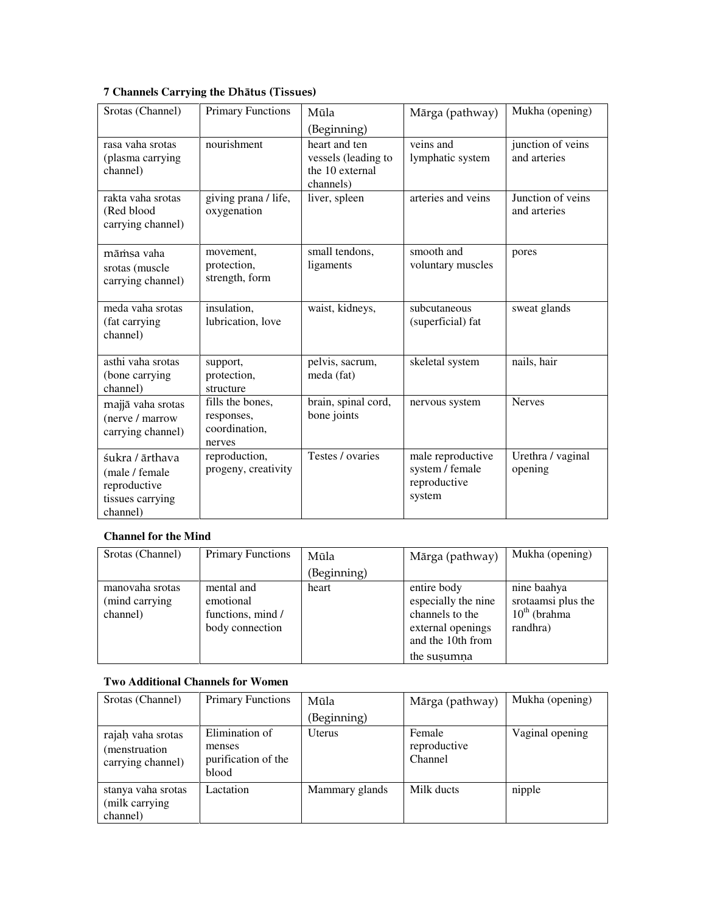|  |  | 7 Channels Carrying the Dhātus (Tissues) |  |  |  |
|--|--|------------------------------------------|--|--|--|
|--|--|------------------------------------------|--|--|--|

| Srotas (Channel)                                                                  | <b>Primary Functions</b>                                  | Mūla<br>(Beginning)                                                  | Mārga (pathway)                                                | Mukha (opening)                   |
|-----------------------------------------------------------------------------------|-----------------------------------------------------------|----------------------------------------------------------------------|----------------------------------------------------------------|-----------------------------------|
| rasa vaha srotas<br>(plasma carrying<br>channel)                                  | nourishment                                               | heart and ten<br>vessels (leading to<br>the 10 external<br>channels) | veins and<br>lymphatic system                                  | junction of veins<br>and arteries |
| rakta vaha srotas<br>(Red blood<br>carrying channel)                              | giving prana / life,<br>oxygenation                       | liver, spleen                                                        | arteries and veins                                             | Junction of veins<br>and arteries |
| māmsa vaha<br>srotas (muscle<br>carrying channel)                                 | movement,<br>protection,<br>strength, form                | small tendons,<br>ligaments                                          | smooth and<br>voluntary muscles                                | pores                             |
| meda vaha srotas<br>(fat carrying<br>channel)                                     | insulation,<br>lubrication, love                          | waist, kidneys,                                                      | subcutaneous<br>(superficial) fat                              | sweat glands                      |
| asthi vaha srotas<br>(bone carrying<br>channel)                                   | support,<br>protection,<br>structure                      | pelvis, sacrum,<br>meda (fat)                                        | skeletal system                                                | nails, hair                       |
| majjā vaha srotas<br>(nerve / marrow<br>carrying channel)                         | fills the bones,<br>responses,<br>coordination,<br>nerves | brain, spinal cord,<br>bone joints                                   | nervous system                                                 | <b>Nerves</b>                     |
| śukra / ārthava<br>(male / female<br>reproductive<br>tissues carrying<br>channel) | reproduction,<br>progeny, creativity                      | Testes / ovaries                                                     | male reproductive<br>system / female<br>reproductive<br>system | Urethra / vaginal<br>opening      |

#### **Channel for the Mind**

| Srotas (Channel)                              | <b>Primary Functions</b>                                        | Mūla        | Mārga (pathway)                                                                                                | Mukha (opening)                                                     |
|-----------------------------------------------|-----------------------------------------------------------------|-------------|----------------------------------------------------------------------------------------------------------------|---------------------------------------------------------------------|
|                                               |                                                                 | (Beginning) |                                                                                                                |                                                                     |
| manovaha srotas<br>(mind carrying<br>channel) | mental and<br>emotional<br>functions, mind /<br>body connection | heart       | entire body<br>especially the nine<br>channels to the<br>external openings<br>and the 10th from<br>the susumna | nine baahya<br>srotaamsi plus the<br>$10^{th}$ (brahma)<br>randhra) |

#### **Two Additional Channels for Women**

| Srotas (Channel)                                        | <b>Primary Functions</b>                                 | Mūla           | Mārga (pathway)                   | Mukha (opening) |
|---------------------------------------------------------|----------------------------------------------------------|----------------|-----------------------------------|-----------------|
|                                                         |                                                          | (Beginning)    |                                   |                 |
| rajah vaha srotas<br>(menstruation<br>carrying channel) | Elimination of<br>menses<br>purification of the<br>blood | <b>U</b> terus | Female<br>reproductive<br>Channel | Vaginal opening |
| stanya vaha srotas<br>(milk carrying)<br>channel)       | Lactation                                                | Mammary glands | Milk ducts                        | nipple          |